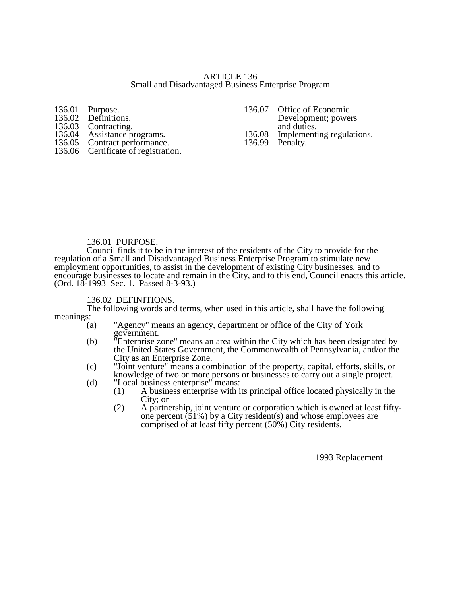### ARTICLE 136 Small and Disadvantaged Business Enterprise Program

| 136.01 Purpose.          |
|--------------------------|
| 136.02 Definitions.      |
| 136.03 Contracting.      |
| $13604$ Assistance proor |

- 
- 136.05 Contract performance. 136.99 Penalty.
- 136.06 Certificate of registration.

136.07 Office of Economic Development; powers. and duties.<br>136.08 Implementi Assistance programs.<br>
Contract performance.<br>
136.08 Implementing regulations.<br>
136.99 Penalty.

### 136.01 PURPOSE.

Council finds it to be in the interest of the residents of the City to provide for the regulation of a Small and Disadvantaged Business Enterprise Program to stimulate new employment opportunities, to assist in the development of existing City businesses, and to encourage businesses to locate and remain in the City, and to this end, Council enacts this article. (Ord. 18-1993 Sec. 1. Passed 8-3-93.)

### 136.02 DEFINITIONS.

The following words and terms, when used in this article, shall have the following meanings:

- (a) "Agency" means an agency, department or office of the City of York government.
- (b) "Enterprise zone" means an area within the City which has been designated by the United States Government, the Commonwealth of Pennsylvania, and/or the City as an Enterprise Zone.
- (c) "Joint venture" means a combination of the property, capital, efforts, skills, or knowledge of two or more persons or businesses to carry out a single project.
- (d) "Local business enterprise" means:
	- (1) A business enterprise with its principal office located physically in the City; or
	- (2) A partnership, joint venture or corporation which is owned at least fiftyone percent  $(51\%)$  by a City resident(s) and whose employees are comprised of at least fifty percent (50%) City residents.

1993 Replacement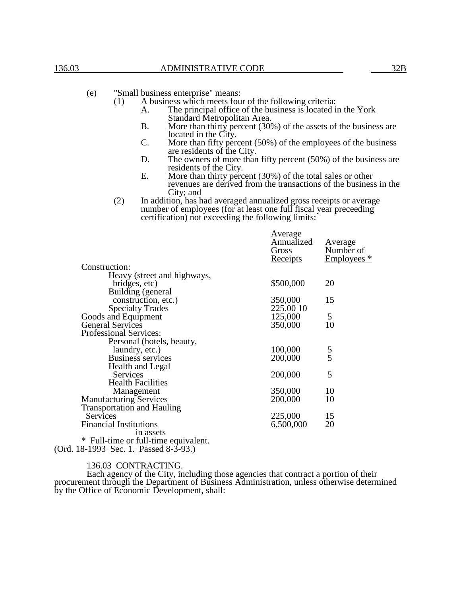- A business which meets four of the following criteria:
	- A. The principal office of the business is located in the York Standard Metropolitan Area.
	- B. More than thirty percent (30%) of the assets of the business are located in the City.
	- C. More than fifty percent (50%) of the employees of the business are residents of the City.
	- D. The owners of more than fifty percent (50%) of the business are residents of the City.
	- E. More than thirty percent (30%) of the total sales or other revenues are derived from the transactions of the business in the City; and
- (2) In addition, has had averaged annualized gross receipts or average number of employees (for at least one full fiscal year preceeding certification) not exceeding the following limits:

|                                    | Average<br>Annualized<br>Gross | Average<br>Number of<br>Employees <sup>*</sup> |
|------------------------------------|--------------------------------|------------------------------------------------|
| Construction:                      | <u>Receipts</u>                |                                                |
| Heavy (street and highways,        |                                |                                                |
|                                    | \$500,000                      | 20                                             |
| bridges, etc)                      |                                |                                                |
| Building (general                  |                                |                                                |
| construction, etc.)                | 350,000                        | 15                                             |
| <b>Specialty Trades</b>            | 225.00 10                      |                                                |
| Goods and Equipment                | 125,000                        | 5                                              |
| <b>General Services</b>            | 350,000                        | 10                                             |
| <b>Professional Services:</b>      |                                |                                                |
| Personal (hotels, beauty,          |                                |                                                |
| laundry, etc.)                     | 100,000                        | $\frac{5}{5}$                                  |
| <b>Business services</b>           | 200,000                        |                                                |
| Health and Legal                   |                                |                                                |
| <b>Services</b>                    | 200,000                        | 5                                              |
| <b>Health Facilities</b>           |                                |                                                |
| Management                         | 350,000                        | 10                                             |
| <b>Manufacturing Services</b>      | 200,000                        | 10                                             |
| Transportation and Hauling         |                                |                                                |
| Services                           | 225,000                        | 15                                             |
| <b>Financial Institutions</b>      | 6,500,000                      | 20                                             |
| in assets                          |                                |                                                |
|                                    |                                |                                                |
| Full-time or full-time equivalent. |                                |                                                |

(Ord. 18-1993 Sec. 1. Passed 8-3-93.)

#### 136.03 CONTRACTING.

Each agency of the City, including those agencies that contract a portion of their procurement through the Department of Business Administration, unless otherwise determined by the Office of Economic Development, shall: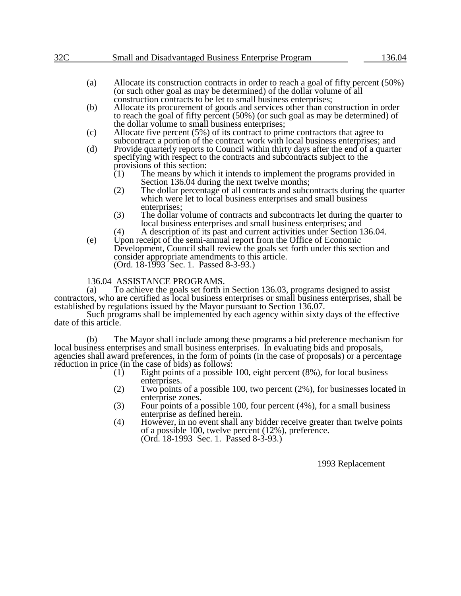# 32C Small and Disadvantaged Business Enterprise Program 136.04

- (a) Allocate its construction contracts in order to reach a goal of fifty percent (50%) (or such other goal as may be determined) of the dollar volume of all construction contracts to be let to small business enterprises;
- (b) Allocate its procurement of goods and services other than construction in order to reach the goal of fifty percent (50%) (or such goal as may be determined) of the dollar volume to small business enterprises;
- (c) Allocate five percent (5%) of its contract to prime contractors that agree to subcontract a portion of the contract work with local business enterprises; and
- (d) Provide quarterly reports to Council within thirty days after the end of a quarter specifying with respect to the contracts and subcontracts subject to the provisions of this section:<br>(1) The means by which
	- The means by which it intends to implement the programs provided in Section 136.04 during the next twelve months;
	- (2) The dollar percentage of all contracts and subcontracts during the quarter which were let to local business enterprises and small business enterprises;
	- (3) The dollar volume of contracts and subcontracts let during the quarter to local business enterprises and small business enterprises; and
	- (4) A description of its past and current activities under Section 136.04.
- (e) Upon receipt of the semi-annual report from the Office of Economic Development, Council shall review the goals set forth under this section and consider appropriate amendments to this article. (Ord. 18-1993 Sec. 1. Passed 8-3-93.)

# 136.04 ASSISTANCE PROGRAMS.

(a) To achieve the goals set forth in Section 136.03, programs designed to assist contractors, who are certified as local business enterprises or small business enterprises, shall be established by regulations issued by the Mayor pursuant to Section 136.07.

Such programs shall be implemented by each agency within sixty days of the effective date of this article.

(b) The Mayor shall include among these programs a bid preference mechanism for local business enterprises and small business enterprises. In evaluating bids and proposals, agencies shall award preferences, in the form of points (in the case of proposals) or a percentage reduction in price (in the case of bids) as follows:<br>(1) Eight points of a possible

- Eight points of a possible 100, eight percent (8%), for local business enterprises.
- (2) Two points of a possible 100, two percent (2%), for businesses located in enterprise zones.
- (3) Four points of a possible 100, four percent (4%), for a small business enterprise as defined herein.
- (4) However, in no event shall any bidder receive greater than twelve points of a possible 100, twelve percent (12%), preference. (Ord. 18-1993 Sec. 1. Passed 8-3-93.)

1993 Replacement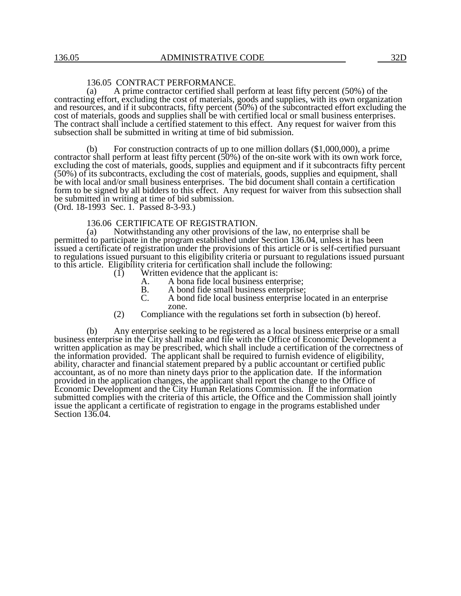# 136.05 CONTRACT PERFORMANCE.

(a) A prime contractor certified shall perform at least fifty percent (50%) of the contracting effort, excluding the cost of materials, goods and supplies, with its own organization and resources, and if it subcontracts, fifty percent (50%) of the subcontracted effort excluding the cost of materials, goods and supplies shall be with certified local or small business enterprises. The contract shall include a certified statement to this effect. Any request for waiver from this subsection shall be submitted in writing at time of bid submission.

(b) For construction contracts of up to one million dollars (\$1,000,000), a prime contractor shall perform at least fifty percent (50%) of the on-site work with its own work force, excluding the cost of materials, goods, supplies and equipment and if it subcontracts fifty percent (50%) of its subcontracts, excluding the cost of materials, goods, supplies and equipment, shall be with local and/or small business enterprises. The bid document shall contain a certification form to be signed by all bidders to this effect. Any request for waiver from this subsection shall be submitted in writing at time of bid submission.

(Ord. 18-1993 Sec. 1. Passed 8-3-93.)

### 136.06 CERTIFICATE OF REGISTRATION.

(a) Notwithstanding any other provisions of the law, no enterprise shall be permitted to participate in the program established under Section 136.04, unless it has been issued a certificate of registration under the provisions of this article or is self-certified pursuant to regulations issued pursuant to this eligibility criteria or pursuant to regulations issued pursuant to this article. Eligibility criteria for certification shall include the following:<br>(1) Written evidence that the applicant is:

- Written evidence that the applicant is:
	- A. A bona fide local business enterprise;<br>B. A bond fide small business enterprise:
	- B. A bond fide small business enterprise;<br>C. A bond fide local business enterprise le
	- A bond fide local business enterprise located in an enterprise zone.
- (2) Compliance with the regulations set forth in subsection (b) hereof.

(b) Any enterprise seeking to be registered as a local business enterprise or a small business enterprise in the City shall make and file with the Office of Economic Development a written application as may be prescribed, which shall include a certification of the correctness of the information provided. The applicant shall be required to furnish evidence of eligibility, ability, character and financial statement prepared by a public accountant or certified public accountant, as of no more than ninety days prior to the application date. If the information provided in the application changes, the applicant shall report the change to the Office of Economic Development and the City Human Relations Commission. If the information submitted complies with the criteria of this article, the Office and the Commission shall jointly issue the applicant a certificate of registration to engage in the programs established under Section 136.04.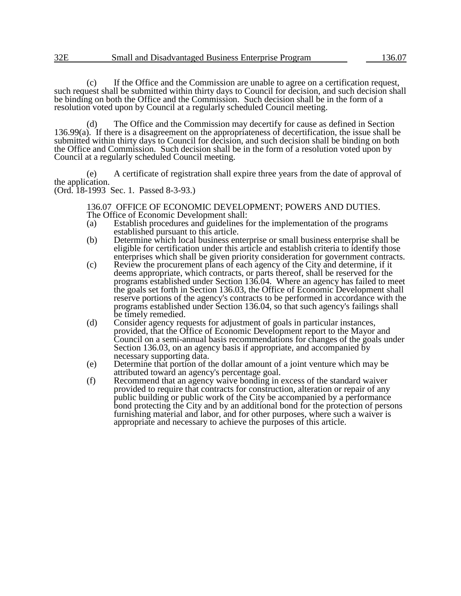(c) If the Office and the Commission are unable to agree on a certification request, such request shall be submitted within thirty days to Council for decision, and such decision shall be binding on both the Office and the Commission. Such decision shall be in the form of a resolution voted upon by Council at a regularly scheduled Council meeting.

(d) The Office and the Commission may decertify for cause as defined in Section 136.99(a). If there is a disagreement on the appropriateness of decertification, the issue shall be submitted within thirty days to Council for decision, and such decision shall be binding on both the Office and Commission. Such decision shall be in the form of a resolution voted upon by Council at a regularly scheduled Council meeting.

(e) A certificate of registration shall expire three years from the date of approval of the application. (Ord. 18-1993 Sec. 1. Passed 8-3-93.)

136.07 OFFICE OF ECONOMIC DEVELOPMENT; POWERS AND DUTIES. The Office of Economic Development shall:

- (a) Establish procedures and guidelines for the implementation of the programs established pursuant to this article.
- (b) Determine which local business enterprise or small business enterprise shall be eligible for certification under this article and establish criteria to identify those enterprises which shall be given priority consideration for government contracts.
- (c) Review the procurement plans of each agency of the City and determine, if it deems appropriate, which contracts, or parts thereof, shall be reserved for the programs established under Section 136.04. Where an agency has failed to meet the goals set forth in Section 136.03, the Office of Economic Development shall reserve portions of the agency's contracts to be performed in accordance with the programs established under Section 136.04, so that such agency's failings shall be timely remedied.
- (d) Consider agency requests for adjustment of goals in particular instances, provided, that the Office of Economic Development report to the Mayor and Council on a semi-annual basis recommendations for changes of the goals under Section 136.03, on an agency basis if appropriate, and accompanied by necessary supporting data.
- (e) Determine that portion of the dollar amount of a joint venture which may be attributed toward an agency's percentage goal.
- (f) Recommend that an agency waive bonding in excess of the standard waiver provided to require that contracts for construction, alteration or repair of any public building or public work of the City be accompanied by a performance bond protecting the City and by an additional bond for the protection of persons furnishing material and labor, and for other purposes, where such a waiver is appropriate and necessary to achieve the purposes of this article.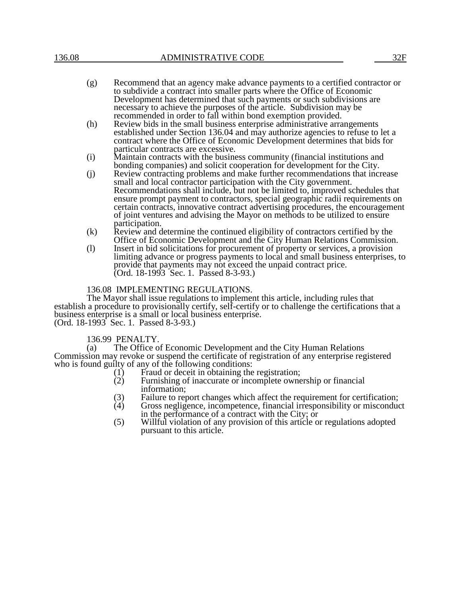- (g) Recommend that an agency make advance payments to a certified contractor or to subdivide a contract into smaller parts where the Office of Economic Development has determined that such payments or such subdivisions are necessary to achieve the purposes of the article. Subdivision may be recommended in order to fall within bond exemption provided.
- (h) Review bids in the small business enterprise administrative arrangements established under Section 136.04 and may authorize agencies to refuse to let a contract where the Office of Economic Development determines that bids for particular contracts are excessive.
- (i) Maintain contracts with the business community (financial institutions and bonding companies) and solicit cooperation for development for the City.
- (j) Review contracting problems and make further recommendations that increase small and local contractor participation with the City government. Recommendations shall include, but not be limited to, improved schedules that ensure prompt payment to contractors, special geographic radii requirements on certain contracts, innovative contract advertising procedures, the encouragement of joint ventures and advising the Mayor on methods to be utilized to ensure participation.
- (k) Review and determine the continued eligibility of contractors certified by the Office of Economic Development and the City Human Relations Commission.
- (l) Insert in bid solicitations for procurement of property or services, a provision limiting advance or progress payments to local and small business enterprises, to provide that payments may not exceed the unpaid contract price. (Ord. 18-1993 Sec. 1. Passed 8-3-93.)

### 136.08 IMPLEMENTING REGULATIONS.

The Mayor shall issue regulations to implement this article, including rules that establish a procedure to provisionally certify, self-certify or to challenge the certifications that a business enterprise is a small or local business enterprise. (Ord. 18-1993 Sec. 1. Passed 8-3-93.)

### 136.99 PENALTY.

(a) The Office of Economic Development and the City Human Relations Commission may revoke or suspend the certificate of registration of any enterprise registered who is found guilty of any of the following conditions:<br>(1) Fraud or deceit in obtaining the

- (1) Fraud or deceit in obtaining the registration;<br>(2) Furnishing of inaccurate or incomplete owner
- Furnishing of inaccurate or incomplete ownership or financial information;
- 
- (3) Failure to report changes which affect the requirement for certification;<br>(4) Gross negligence, incompetence, financial irresponsibility or misconduc Gross negligence, incompetence, financial irresponsibility or misconduct in the performance of a contract with the City; or
- (5) Willful violation of any provision of this article or regulations adopted pursuant to this article.